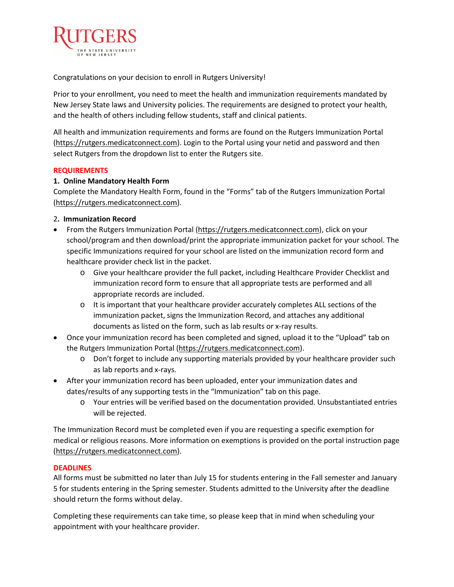

Congratulations on your decision to enroll in Rutgers University!

Prior to your enrollment, you need to meet the health and immunization requirements mandated by New Jersey State laws and University policies. The requirements are designed to protect your health, and the health of others including fellow students, staff and clinical patients.

All health and immunization requirements and forms are found on the Rutgers Immunization Portal [\(https://rutgers.medicatconnect.com\)](https://rutgers.medicatconnect.com/). Login to the Portal using your netid and password and then select Rutgers from the dropdown list to enter the Rutgers site.

### **REQUIREMENTS**

## **1. Online Mandatory Health Form**

Complete the Mandatory Health Form, found in the "Forms" tab of the Rutgers Immunization Portal [\(https://rutgers.medicatconnect.com\)](https://rutgers.medicatconnect.com/).

## 2**. Immunization Record**

- From the Rutgers Immunization Portal [\(https://rutgers.medicatconnect.com\)](https://rutgers.medicatconnect.com/), click on your school/program and then download/print the appropriate immunization packet for your school. The specific Immunizations required for your school are listed on the immunization record form and healthcare provider check list in the packet.
	- o Give your healthcare provider the full packet, including Healthcare Provider Checklist and immunization record form to ensure that all appropriate tests are performed and all appropriate records are included.
	- o It is important that your healthcare provider accurately completes ALL sections of the immunization packet, signs the Immunization Record, and attaches any additional documents as listed on the form, such as lab results or x-ray results.
- Once your immunization record has been completed and signed, upload it to the "Upload" tab on the Rutgers Immunization Portal [\(https://rutgers.medicatconnect.com\)](https://rutgers.medicatconnect.com/).
	- o Don't forget to include any supporting materials provided by your healthcare provider such as lab reports and x-rays.
- After your immunization record has been uploaded, enter your immunization dates and dates/results of any supporting tests in the "Immunization" tab on this page.
	- o Your entries will be verified based on the documentation provided. Unsubstantiated entries will be rejected.

The Immunization Record must be completed even if you are requesting a specific exemption for medical or religious reasons. More information on exemptions is provided on the portal instruction page [\(https://rutgers.medicatconnect.com\)](https://rutgers.medicatconnect.com/).

### **DEADLINES**

All forms must be submitted no later than July 15 for students entering in the Fall semester and January 5 for students entering in the Spring semester. Students admitted to the University after the deadline should return the forms without delay.

Completing these requirements can take time, so please keep that in mind when scheduling your appointment with your healthcare provider.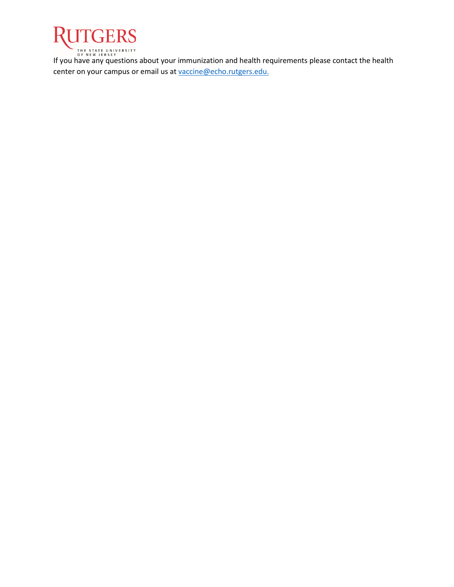

IHE STATE UNIVERSITY<br>If you have any questions about your immunization and health requirements please contact the health center on your campus or email us a[t vaccine@echo.rutgers.edu.](mailto:vaccine@echo.rutgers.edu)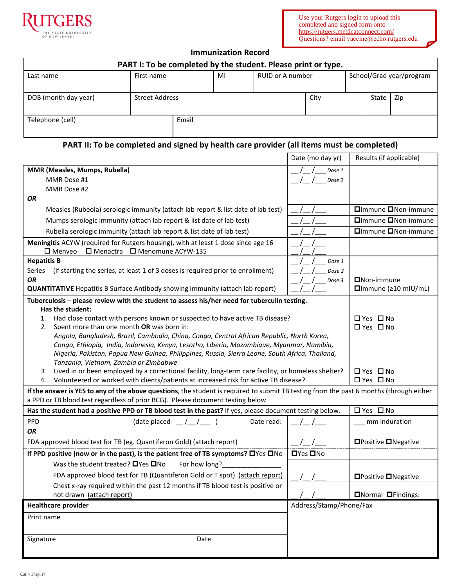



# **Immunization Record**

| PART I: To be completed by the student. Please print or type. |                |       |    |                  |      |                          |       |     |
|---------------------------------------------------------------|----------------|-------|----|------------------|------|--------------------------|-------|-----|
| Last name                                                     | First name     |       | MI | RUID or A number |      | School/Grad year/program |       |     |
| DOB (month day year)                                          | Street Address |       |    |                  | City |                          | State | Zip |
| Telephone (cell)                                              |                | Email |    |                  |      |                          |       |     |

# **PART II: To be completed and signed by health care provider (all items must be completed)**

|                                                                                                                                                                                                                            | Date (mo day yr)        | Results (if applicable)                   |  |
|----------------------------------------------------------------------------------------------------------------------------------------------------------------------------------------------------------------------------|-------------------------|-------------------------------------------|--|
| MMR (Measles, Mumps, Rubella)                                                                                                                                                                                              | Dose 1                  |                                           |  |
| MMR Dose #1                                                                                                                                                                                                                | Dose 2                  |                                           |  |
| MMR Dose #2                                                                                                                                                                                                                |                         |                                           |  |
| <b>OR</b>                                                                                                                                                                                                                  |                         |                                           |  |
| Measles (Rubeola) serologic immunity (attach lab report & list date of lab test)                                                                                                                                           |                         | <b>□</b> Immune ■Non-immune               |  |
| Mumps serologic immunity (attach lab report & list date of lab test)                                                                                                                                                       |                         | □Immune □Non-immune                       |  |
| Rubella serologic immunity (attach lab report & list date of lab test)                                                                                                                                                     |                         | <b>Olmmune ONon-immune</b>                |  |
| Meningitis ACYW (required for Rutgers housing), with at least 1 dose since age 16<br>$\square$ Menveo<br>$\Box$ Menactra $\Box$ Menomune ACYW-135                                                                          |                         |                                           |  |
| <b>Hepatitis B</b>                                                                                                                                                                                                         | Dose 1                  |                                           |  |
| (if starting the series, at least 1 of 3 doses is required prior to enrollment)<br><b>Series</b>                                                                                                                           | Dose 2                  |                                           |  |
| <b>OR</b><br><b>QUANTITATIVE</b> Hepatitis B Surface Antibody showing immunity (attach lab report)                                                                                                                         | Dose 3                  | $\Box$ Non-immune<br>□Immune (≥10 mIU/mL) |  |
| Tuberculosis - please review with the student to assess his/her need for tuberculin testing.                                                                                                                               |                         |                                           |  |
| Has the student:                                                                                                                                                                                                           |                         |                                           |  |
| Had close contact with persons known or suspected to have active TB disease?<br>1.                                                                                                                                         |                         | □ Yes □ No                                |  |
| Spent more than one month OR was born in:<br>2.                                                                                                                                                                            |                         | □ Yes □ No                                |  |
| Angola, Bangladesh, Brazil, Cambodia, China, Congo, Central African Republic, North Korea,                                                                                                                                 |                         |                                           |  |
| Congo, Ethiopia, India, Indonesia, Kenya, Lesotho, Liberia, Mozambique, Myanmar, Namibia,                                                                                                                                  |                         |                                           |  |
| Nigeria, Pakistan, Papua New Guinea, Philippines, Russia, Sierra Leone, South Africa, Thailand,                                                                                                                            |                         |                                           |  |
| Tanzania, Vietnam, Zambia or Zimbabwe<br>Lived in or been employed by a correctional facility, long-term care facility, or homeless shelter?                                                                               |                         | $\Box$ Yes $\Box$ No                      |  |
| 3.<br>Volunteered or worked with clients/patients at increased risk for active TB disease?<br>4.                                                                                                                           |                         | □ Yes □ No                                |  |
|                                                                                                                                                                                                                            |                         |                                           |  |
| If the answer is YES to any of the above questions, the student is required to submit TB testing from the past 6 months (through either<br>a PPD or TB blood test regardless of prior BCG). Please document testing below. |                         |                                           |  |
| Has the student had a positive PPD or TB blood test in the past? If yes, please document testing below.                                                                                                                    |                         | □ Yes □ No                                |  |
| PPD<br>(date placed<br>1/2<br>Date read:                                                                                                                                                                                   |                         | mm induration                             |  |
| <b>OR</b>                                                                                                                                                                                                                  |                         |                                           |  |
| FDA approved blood test for TB (eg. Quantiferon Gold) (attach report)                                                                                                                                                      |                         | □Positive □Negative                       |  |
| If PPD positive (now or in the past), is the patient free of TB symptoms? OYes ONo                                                                                                                                         | $\Box$ Yes $\Box$ No    |                                           |  |
| Was the student treated? $\Box$ Yes $\Box$ No<br>For how long?                                                                                                                                                             |                         |                                           |  |
| FDA approved blood test for TB (Quantiferon Gold or T spot) (attach report)                                                                                                                                                |                         | <b>□Positive □Negative</b>                |  |
| Chest x-ray required within the past 12 months if TB blood test is positive or                                                                                                                                             |                         |                                           |  |
| not drawn (attach report)                                                                                                                                                                                                  |                         | <b>ONormal OFindings:</b>                 |  |
| <b>Healthcare provider</b>                                                                                                                                                                                                 | Address/Stamp/Phone/Fax |                                           |  |
| Print name                                                                                                                                                                                                                 |                         |                                           |  |
|                                                                                                                                                                                                                            |                         |                                           |  |
| Signature<br>Date                                                                                                                                                                                                          |                         |                                           |  |
|                                                                                                                                                                                                                            |                         |                                           |  |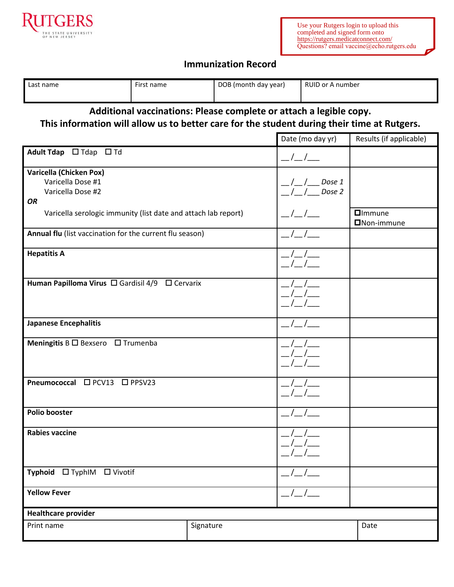

# **Immunization Record**

| Last name                                                                                                                                                         | First name |  | DOB (month day year) |                                       | <b>RUID or A number</b>               |                                      |  |
|-------------------------------------------------------------------------------------------------------------------------------------------------------------------|------------|--|----------------------|---------------------------------------|---------------------------------------|--------------------------------------|--|
| Additional vaccinations: Please complete or attach a legible copy.<br>This information will allow us to better care for the student during their time at Rutgers. |            |  |                      |                                       |                                       |                                      |  |
|                                                                                                                                                                   |            |  |                      |                                       | Date (mo day yr)                      | Results (if applicable)              |  |
| <b>Adult Tdap</b><br>$\Box$ Tdap $\Box$ Td                                                                                                                        |            |  |                      | $\frac{\mu}{\mu}$ / $\frac{\mu}{\mu}$ |                                       |                                      |  |
| Varicella (Chicken Pox)<br>Varicella Dose #1<br>Varicella Dose #2<br><b>OR</b>                                                                                    |            |  |                      | Dose 1<br>Dose 2                      |                                       |                                      |  |
| Varicella serologic immunity (list date and attach lab report)                                                                                                    |            |  |                      |                                       |                                       | $\Box$ Immune<br><b>□</b> Non-immune |  |
| Annual flu (list vaccination for the current flu season)                                                                                                          |            |  |                      |                                       |                                       |                                      |  |
| <b>Hepatitis A</b>                                                                                                                                                |            |  |                      |                                       |                                       |                                      |  |
| Human Papilloma Virus □ Gardisil 4/9<br>$\Box$ Cervarix                                                                                                           |            |  |                      |                                       |                                       |                                      |  |
| <b>Japanese Encephalitis</b>                                                                                                                                      |            |  |                      |                                       |                                       |                                      |  |
| <b>Meningitis B <math>\Box</math> Bexsero</b> $\Box$ Trumenba                                                                                                     |            |  |                      |                                       |                                       |                                      |  |
| Pneumococcal □ PCV13<br>$\square$ PPSV23                                                                                                                          |            |  |                      |                                       |                                       |                                      |  |
| <b>Polio booster</b>                                                                                                                                              |            |  | _/_/__               |                                       |                                       |                                      |  |
| <b>Rabies vaccine</b>                                                                                                                                             |            |  |                      |                                       |                                       |                                      |  |
| Typhoid □ TyphIM □ Vivotif                                                                                                                                        |            |  |                      | $\frac{1}{2}$                         |                                       |                                      |  |
| <b>Yellow Fever</b>                                                                                                                                               |            |  |                      |                                       | $\frac{\mu}{\mu}$ / $\frac{\mu}{\mu}$ |                                      |  |
| <b>Healthcare provider</b>                                                                                                                                        |            |  |                      |                                       |                                       |                                      |  |
| Signature<br>Print name                                                                                                                                           |            |  |                      |                                       | Date                                  |                                      |  |